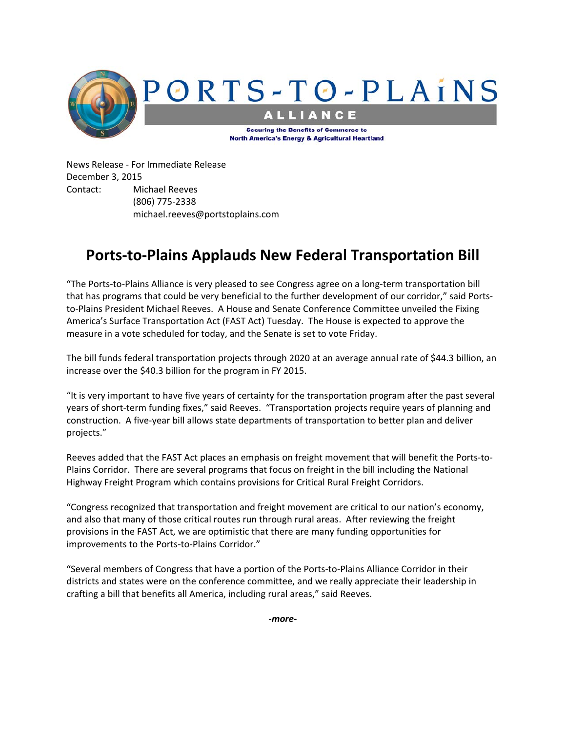

News Release ‐ For Immediate Release December 3, 2015 Contact: Michael Reeves (806) 775‐2338 michael.reeves@portstoplains.com

## **Ports‐to‐Plains Applauds New Federal Transportation Bill**

"The Ports‐to‐Plains Alliance is very pleased to see Congress agree on a long‐term transportation bill that has programs that could be very beneficial to the further development of our corridor," said Ports‐ to-Plains President Michael Reeves. A House and Senate Conference Committee unveiled the Fixing America's Surface Transportation Act (FAST Act) Tuesday. The House is expected to approve the measure in a vote scheduled for today, and the Senate is set to vote Friday.

The bill funds federal transportation projects through 2020 at an average annual rate of \$44.3 billion, an increase over the \$40.3 billion for the program in FY 2015.

"It is very important to have five years of certainty for the transportation program after the past several years of short-term funding fixes," said Reeves. "Transportation projects require years of planning and construction. A five‐year bill allows state departments of transportation to better plan and deliver projects."

Reeves added that the FAST Act places an emphasis on freight movement that will benefit the Ports‐to‐ Plains Corridor. There are several programs that focus on freight in the bill including the National Highway Freight Program which contains provisions for Critical Rural Freight Corridors.

"Congress recognized that transportation and freight movement are critical to our nation's economy, and also that many of those critical routes run through rural areas. After reviewing the freight provisions in the FAST Act, we are optimistic that there are many funding opportunities for improvements to the Ports-to-Plains Corridor."

"Several members of Congress that have a portion of the Ports‐to‐Plains Alliance Corridor in their districts and states were on the conference committee, and we really appreciate their leadership in crafting a bill that benefits all America, including rural areas," said Reeves.

*‐more‐*